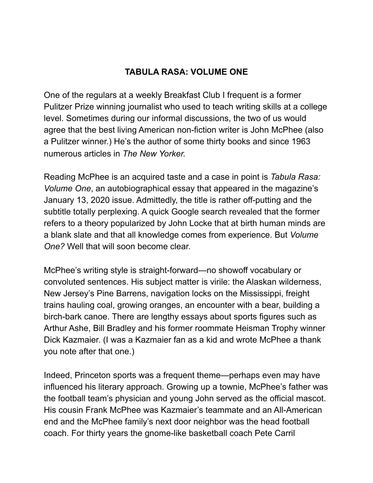## **TABULA RASA: VOLUME ONE**

One of the regulars at a weekly Breakfast Club I frequent is a former Pulitzer Prize winning journalist who used to teach writing skills at a college level. Sometimes during our informal discussions, the two of us would agree that the best living American non-fiction writer is John McPhee (also a Pulitzer winner.) He's the author of some thirty books and since 1963 numerous articles in *The New Yorker.* 

Reading McPhee is an acquired taste and a case in point is *Tabula Rasa: Volume One*, an autobiographical essay that appeared in the magazine's January 13, 2020 issue. Admittedly, the title is rather off-putting and the subtitle totally perplexing. A quick Google search revealed that the former refers to a theory popularized by John Locke that at birth human minds are a blank slate and that all knowledge comes from experience. But *Volume One?* Well that will soon become clear.

McPhee's writing style is straight-forward—no showoff vocabulary or convoluted sentences. His subject matter is virile: the Alaskan wilderness, New Jersey's Pine Barrens, navigation locks on the Mississippi, freight trains hauling coal, growing oranges, an encounter with a bear, building a birch-bark canoe. There are lengthy essays about sports figures such as Arthur Ashe, Bill Bradley and his former roommate Heisman Trophy winner Dick Kazmaier. (I was a Kazmaier fan as a kid and wrote McPhee a thank you note after that one.)

Indeed, Princeton sports was a frequent theme—perhaps even may have influenced his literary approach. Growing up a townie, McPhee's father was the football team's physician and young John served as the official mascot. His cousin Frank McPhee was Kazmaier's teammate and an All-American end and the McPhee family's next door neighbor was the head football coach. For thirty years the gnome-like basketball coach Pete Carril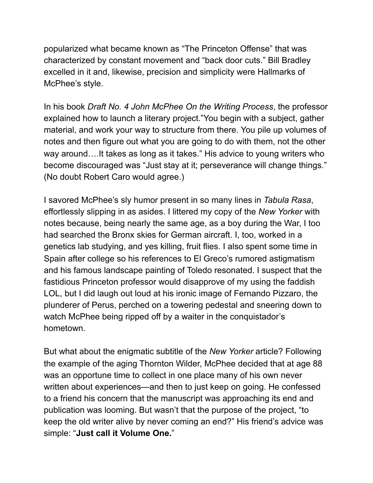popularized what became known as "The Princeton Offense" that was characterized by constant movement and "back door cuts." Bill Bradley excelled in it and, likewise, precision and simplicity were Hallmarks of McPhee's style.

In his book *Draft No. 4 John McPhee On the Writing Process*, the professor explained how to launch a literary project."You begin with a subject, gather material, and work your way to structure from there. You pile up volumes of notes and then figure out what you are going to do with them, not the other way around….It takes as long as it takes." His advice to young writers who become discouraged was "Just stay at it; perseverance will change things." (No doubt Robert Caro would agree.)

I savored McPhee's sly humor present in so many lines in *Tabula Rasa*, effortlessly slipping in as asides. I littered my copy of the *New Yorker* with notes because, being nearly the same age, as a boy during the War, I too had searched the Bronx skies for German aircraft. I, too, worked in a genetics lab studying, and yes killing, fruit flies. I also spent some time in Spain after college so his references to El Greco's rumored astigmatism and his famous landscape painting of Toledo resonated. I suspect that the fastidious Princeton professor would disapprove of my using the faddish LOL, but I did laugh out loud at his ironic image of Fernando Pizzaro, the plunderer of Perus, perched on a towering pedestal and sneering down to watch McPhee being ripped off by a waiter in the conquistador's hometown.

But what about the enigmatic subtitle of the *New Yorker* article? Following the example of the aging Thornton Wilder, McPhee decided that at age 88 was an opportune time to collect in one place many of his own never written about experiences—and then to just keep on going. He confessed to a friend his concern that the manuscript was approaching its end and publication was looming. But wasn't that the purpose of the project, "to keep the old writer alive by never coming an end?" His friend's advice was simple: "**Just call it Volume One.**"